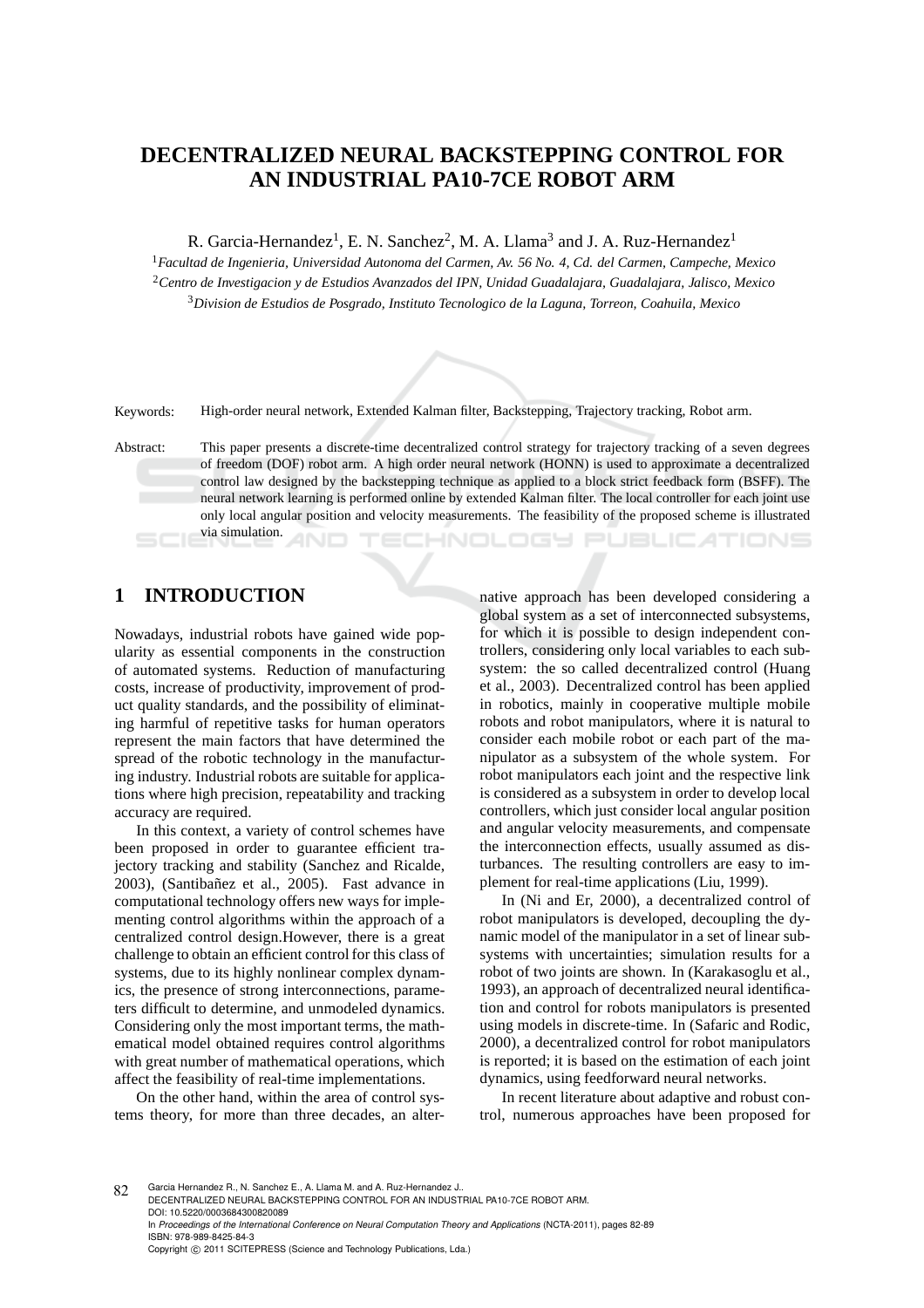# **DECENTRALIZED NEURAL BACKSTEPPING CONTROL FOR AN INDUSTRIAL PA10-7CE ROBOT ARM**

R. Garcia-Hernandez<sup>1</sup>, E. N. Sanchez<sup>2</sup>, M. A. Llama<sup>3</sup> and J. A. Ruz-Hernandez<sup>1</sup>

<sup>1</sup>*Facultad de Ingenieria, Universidad Autonoma del Carmen, Av. 56 No. 4, Cd. del Carmen, Campeche, Mexico* <sup>2</sup>*Centro de Investigacion y de Estudios Avanzados del IPN, Unidad Guadalajara, Guadalajara, Jalisco, Mexico* <sup>3</sup>*Division de Estudios de Posgrado, Instituto Tecnologico de la Laguna, Torreon, Coahuila, Mexico*



Keywords: High-order neural network, Extended Kalman filter, Backstepping, Trajectory tracking, Robot arm.

Abstract: This paper presents a discrete-time decentralized control strategy for trajectory tracking of a seven degrees of freedom (DOF) robot arm. A high order neural network (HONN) is used to approximate a decentralized control law designed by the backstepping technique as applied to a block strict feedback form (BSFF). The neural network learning is performed online by extended Kalman filter. The local controller for each joint use only local angular position and velocity measurements. The feasibility of the proposed scheme is illustrated via simulation. **ECHNOLOGY PUBLICATIONS** 

# **1 INTRODUCTION**

Nowadays, industrial robots have gained wide popularity as essential components in the construction of automated systems. Reduction of manufacturing costs, increase of productivity, improvement of product quality standards, and the possibility of eliminating harmful of repetitive tasks for human operators represent the main factors that have determined the spread of the robotic technology in the manufacturing industry. Industrial robots are suitable for applications where high precision, repeatability and tracking accuracy are required.

In this context, a variety of control schemes have been proposed in order to guarantee efficient trajectory tracking and stability (Sanchez and Ricalde, 2003), (Santibañez et al., 2005). Fast advance in computational technology offers new ways for implementing control algorithms within the approach of a centralized control design.However, there is a great challenge to obtain an efficient control for this class of systems, due to its highly nonlinear complex dynamics, the presence of strong interconnections, parameters difficult to determine, and unmodeled dynamics. Considering only the most important terms, the mathematical model obtained requires control algorithms with great number of mathematical operations, which affect the feasibility of real-time implementations.

On the other hand, within the area of control systems theory, for more than three decades, an alter-

native approach has been developed considering a global system as a set of interconnected subsystems, for which it is possible to design independent controllers, considering only local variables to each subsystem: the so called decentralized control (Huang et al., 2003). Decentralized control has been applied in robotics, mainly in cooperative multiple mobile robots and robot manipulators, where it is natural to consider each mobile robot or each part of the manipulator as a subsystem of the whole system. For robot manipulators each joint and the respective link is considered as a subsystem in order to develop local controllers, which just consider local angular position and angular velocity measurements, and compensate the interconnection effects, usually assumed as disturbances. The resulting controllers are easy to implement for real-time applications (Liu, 1999).

In (Ni and Er, 2000), a decentralized control of robot manipulators is developed, decoupling the dynamic model of the manipulator in a set of linear subsystems with uncertainties; simulation results for a robot of two joints are shown. In (Karakasoglu et al., 1993), an approach of decentralized neural identification and control for robots manipulators is presented using models in discrete-time. In (Safaric and Rodic, 2000), a decentralized control for robot manipulators is reported; it is based on the estimation of each joint dynamics, using feedforward neural networks.

In recent literature about adaptive and robust control, numerous approaches have been proposed for

82 Garcia Hernandez R., N. Sanchez E., A. Llama M. and A. Ruz-Hernandez J.. DECENTRALIZED NEURAL BACKSTEPPING CONTROL FOR AN INDUSTRIAL PA10-7CE ROBOT ARM. DOI: 10.5220/0003684300820089 In *Proceedings of the International Conference on Neural Computation Theory and Applications* (NCTA-2011), pages 82-89 ISBN: 978-989-8425-84-3 Copyright © 2011 SCITEPRESS (Science and Technology Publications, Lda.)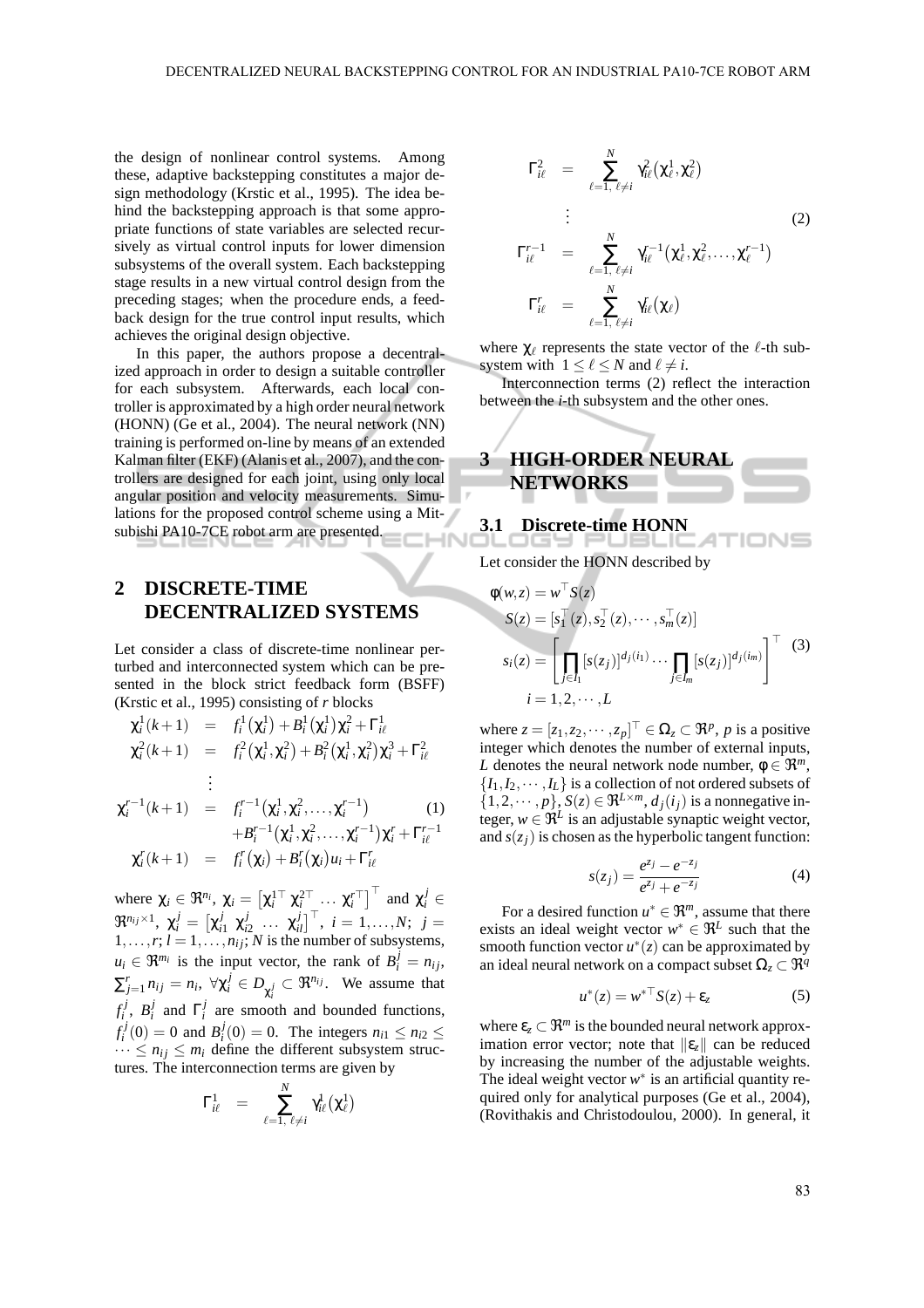the design of nonlinear control systems. Among these, adaptive backstepping constitutes a major design methodology (Krstic et al., 1995). The idea behind the backstepping approach is that some appropriate functions of state variables are selected recursively as virtual control inputs for lower dimension subsystems of the overall system. Each backstepping stage results in a new virtual control design from the preceding stages; when the procedure ends, a feedback design for the true control input results, which achieves the original design objective.

In this paper, the authors propose a decentralized approach in order to design a suitable controller for each subsystem. Afterwards, each local controller is approximated by a high order neural network (HONN) (Ge et al., 2004). The neural network (NN) training is performed on-line by means of an extended Kalman filter (EKF) (Alanis et al., 2007), and the controllers are designed for each joint, using only local angular position and velocity measurements. Simulations for the proposed control scheme using a Mitsubishi PA10-7CE robot arm are presented. -INI

# **2 DISCRETE-TIME DECENTRALIZED SYSTEMS**

Let consider a class of discrete-time nonlinear perturbed and interconnected system which can be presented in the block strict feedback form (BSFF) (Krstic et al., 1995) consisting of *r* blocks

$$
\chi_i^1(k+1) = f_i^1(\chi_i^1) + B_i^1(\chi_i^1)\chi_i^2 + \Gamma_{i\ell}^1 \n\chi_i^2(k+1) = f_i^2(\chi_i^1, \chi_i^2) + B_i^2(\chi_i^1, \chi_i^2)\chi_i^3 + \Gamma_{i\ell}^2 \n\vdots \n\chi_i^{r-1}(k+1) = f_i^{r-1}(\chi_i^1, \chi_i^2, \ldots, \chi_i^{r-1}) \qquad (1) \n+ B_i^{r-1}(\chi_i^1, \chi_i^2, \ldots, \chi_i^{r-1})\chi_i^r + \Gamma_{i\ell}^{r-1} \n\chi_i^r(k+1) = f_i^r(\chi_i) + B_i^r(\chi_i)u_i + \Gamma_{i\ell}^r
$$

where  $\chi_i \in \Re^{n_i}$ ,  $\chi_i = \left[\chi_i^{1\top} \chi_i^{2\top} \dots \chi_i^{r\top}\right]^{\top}$  and  $\chi_i^j \in$  $\mathfrak{R}^{n_{ij}\times 1},\,\,\chi^{j}_{i}=\left[\chi^{j}_{i}\right]$ *i*1 χ *j*  $\chi_{i2}^j$  ...  $\chi_{il}^j$ <sup>T</sup>,  $i = 1,...,N$ ;  $j =$  $1, \ldots, r; l = 1, \ldots, n_{ij}; N$  is the number of subsystems,  $u_i \in \Re^{m_i}$  is the input vector, the rank of  $B_i^j = n_{ij}$ ,  $\sum_{j=1}^r n_{ij} = n_i$ ,  $\forall \chi_i^j \in D_{\chi_i^j} \subset \Re^{n_{ij}}$ . We assume that  $f_i^j$ ,  $B_i^j$  and  $\Gamma_i^j$  are smooth and bounded functions,  $f_i^j(0) = 0$  and  $B_i^j(0) = 0$ . The integers  $n_{i1} \le n_{i2} \le$  $\cdots \leq n_{ij} \leq m_i$  define the different subsystem structures. The interconnection terms are given by

$$
\Gamma^1_{i\ell} \quad = \quad \sum_{\ell=1, \ \ell \neq i}^N \gamma^1_{i\ell}(\chi^1_\ell)
$$

$$
\Gamma_{i\ell}^2 = \sum_{\ell=1,\ \ell \neq i}^N \gamma_{i\ell}^2(\chi_{\ell}^1, \chi_{\ell}^2)
$$
\n
$$
\vdots
$$
\n
$$
\Gamma_{i\ell}^{r-1} = \sum_{\ell=1,\ \ell \neq i}^N \gamma_{i\ell}^{r-1}(\chi_{\ell}^1, \chi_{\ell}^2, \dots, \chi_{\ell}^{r-1})
$$
\n
$$
\Gamma_{i\ell}^r = \sum_{\ell=1,\ \ell \neq i}^N \gamma_{i\ell}^r(\chi_{\ell})
$$
\n(2)

where  $\chi_{\ell}$  represents the state vector of the  $\ell$ -th subsystem with  $1 \leq \ell \leq N$  and  $\ell \neq i$ .

Interconnection terms (2) reflect the interaction between the *i*-th subsystem and the other ones.

# **3 HIGH-ORDER NEURAL NETWORKS**

**3.1 Discrete-time HONN**

Let consider the HONN described by

$$
\phi(w, z) = w^{\top} S(z)
$$
  
\n
$$
S(z) = [s_1^{\top}(z), s_2^{\top}(z), \cdots, s_m^{\top}(z)]
$$
  
\n
$$
s_i(z) = \left[ \prod_{j \in I_1} [s(z_j)]^{d_j(i_1)} \cdots \prod_{j \in I_m} [s(z_j)]^{d_j(i_m)} \right]^{\top}
$$
 (3)  
\n $i = 1, 2, \cdots, L$ 

where  $z = [z_1, z_2, \dots, z_p]^\top \in \Omega_z \subset \Re^p$ , *p* is a positive integer which denotes the number of external inputs, *L* denotes the neural network node number,  $\phi \in \mathbb{R}^m$ ,  $\{I_1, I_2, \cdots, I_L\}$  is a collection of not ordered subsets of  $\{1,2,\dots,p\}$ ,  $S(z) \in \Re^{L \times m}$ ,  $d_j(i_j)$  is a nonnegative integer,  $w \in \mathfrak{R}^L$  is an adjustable synaptic weight vector, and  $s(z_i)$  is chosen as the hyperbolic tangent function:

$$
s(z_j) = \frac{e^{z_j} - e^{-z_j}}{e^{z_j} + e^{-z_j}}
$$
 (4)

For a desired function  $u^* \in \mathbb{R}^m$ , assume that there exists an ideal weight vector  $w^* \in \Re^L$  such that the smooth function vector  $u^*(z)$  can be approximated by an ideal neural network on a compact subset  $\Omega$ <sub>z</sub>  $\subset \mathfrak{R}^q$ 

$$
u^*(z) = w^{*\top} S(z) + \varepsilon_z \tag{5}
$$

where  $\varepsilon_z \subset \mathfrak{R}^m$  is the bounded neural network approximation error vector; note that  $\|\varepsilon_z\|$  can be reduced by increasing the number of the adjustable weights. The ideal weight vector  $w^*$  is an artificial quantity required only for analytical purposes (Ge et al., 2004), (Rovithakis and Christodoulou, 2000). In general, it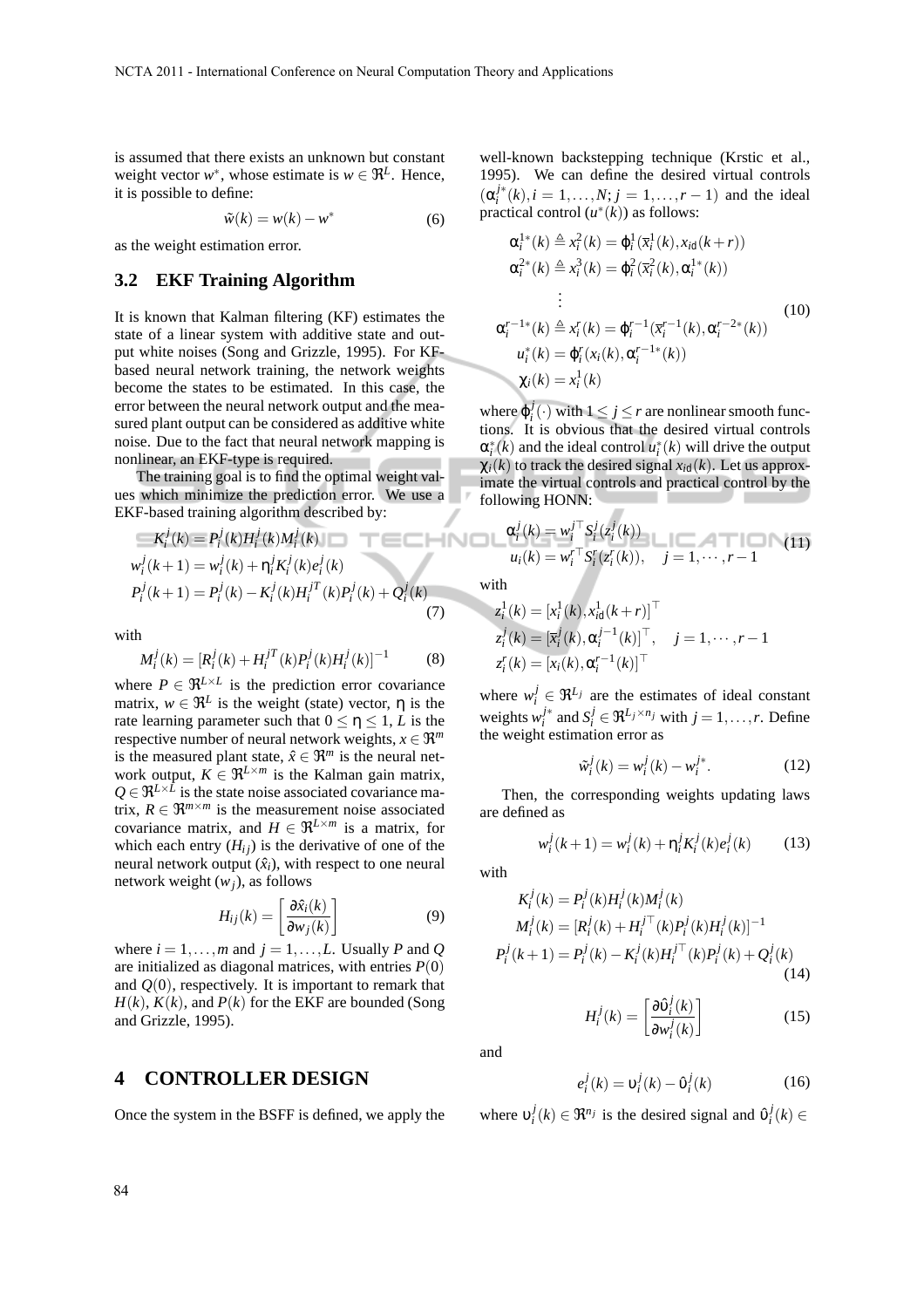is assumed that there exists an unknown but constant weight vector  $w^*$ , whose estimate is  $w \in \Re^L$ . Hence, it is possible to define:

$$
\tilde{w}(k) = w(k) - w^*
$$
\n(6)

as the weight estimation error.

#### **3.2 EKF Training Algorithm**

It is known that Kalman filtering (KF) estimates the state of a linear system with additive state and output white noises (Song and Grizzle, 1995). For KFbased neural network training, the network weights become the states to be estimated. In this case, the error between the neural network output and the measured plant output can be considered as additive white noise. Due to the fact that neural network mapping is nonlinear, an EKF-type is required.

The training goal is to find the optimal weight values which minimize the prediction error. We use a EKF-based training algorithm described by:

$$
K_i^j(k) = P_i^j(k)H_i^j(k)M_i^j(k)
$$
  
\n
$$
w_i^j(k+1) = w_i^j(k) + \eta_i^j K_i^j(k)e_i^j(k)
$$
  
\n
$$
P_i^j(k+1) = P_i^j(k) - K_i^j(k)H_i^{jT}(k)P_i^j(k) + Q_i^j(k)
$$
  
\n(7)

with

$$
M_i^j(k) = [R_i^j(k) + H_i^{jT}(k)P_i^j(k)H_i^j(k)]^{-1}
$$
 (8)

where  $P \in \Re^{L \times L}$  is the prediction error covariance matrix,  $w \in \Re^L$  is the weight (state) vector,  $\eta$  is the rate learning parameter such that  $0 \le \eta \le 1$ , *L* is the respective number of neural network weights,  $x \in \mathbb{R}^m$ is the measured plant state,  $\hat{x} \in \mathbb{R}^m$  is the neural network output,  $K \in \mathfrak{R}^{L \times m}$  is the Kalman gain matrix,  $Q \in \Re^{L \times L}$  is the state noise associated covariance matrix,  $R \in \mathbb{R}^{m \times m}$  is the measurement noise associated covariance matrix, and  $H \in \mathbb{R}^{L \times m}$  is a matrix, for which each entry  $(H_{ij})$  is the derivative of one of the neural network output  $(\hat{x}_i)$ , with respect to one neural network weight (*wj*), as follows

$$
H_{ij}(k) = \left[\frac{\partial \hat{x}_i(k)}{\partial w_j(k)}\right]
$$
 (9)

where  $i = 1, \ldots, m$  and  $j = 1, \ldots, L$ . Usually *P* and *Q* are initialized as diagonal matrices, with entries *P*(0) and *Q*(0), respectively. It is important to remark that  $H(k)$ ,  $K(k)$ , and  $P(k)$  for the EKF are bounded (Song and Grizzle, 1995).

### **4 CONTROLLER DESIGN**

Once the system in the BSFF is defined, we apply the

well-known backstepping technique (Krstic et al., 1995). We can define the desired virtual controls  $(\alpha_i^{j*}(k), i = 1, ..., N; j = 1, ..., r - 1)$  and the ideal practical control  $(u^*(k))$  as follows:

$$
\alpha_i^{1*}(k) \triangleq x_i^2(k) = \varphi_i^1(\overline{x}_i^1(k), x_{i\alpha}(k+r))
$$
  
\n
$$
\alpha_i^{2*}(k) \triangleq x_i^3(k) = \varphi_i^2(\overline{x}_i^2(k), \alpha_i^{1*}(k))
$$
  
\n
$$
\vdots
$$
  
\n
$$
\alpha_i^{r-1*}(k) \triangleq x_i^r(k) = \varphi_i^{r-1}(\overline{x}_i^{r-1}(k), \alpha_i^{r-2*}(k))
$$
  
\n
$$
u_i^*(k) = \varphi_i^r(x_i(k), \alpha_i^{r-1*}(k))
$$
  
\n
$$
\chi_i(k) = x_i^1(k)
$$
  
\n(10)

where  $\varphi_i^j(\cdot)$  with  $1 \le j \le r$  are nonlinear smooth functions. It is obvious that the desired virtual controls  $\alpha_i^*(k)$  and the ideal control  $u_i^*(k)$  will drive the output  $\chi_i(k)$  to track the desired signal  $x_{i,d}(k)$ . Let us approximate the virtual controls and practical control by the following HONN:

$$
\mathbf{u}_i(k) = w_i^{j\top} S_i^j(z_i^j(k))
$$
  
 
$$
u_i(k) = w_i^{r\top} S_i^r(z_i^r(k)), \quad j = 1, \cdots, r-1
$$
 (11)

with

NC

1∗

 $22.2$ 

$$
z_i^1(k) = [x_i^1(k), x_{i\alpha}^1(k+r)]^\top
$$
  
\n
$$
z_i^j(k) = [\overline{x}_i^j(k), \alpha_i^{j-1}(k)]^\top, \quad j = 1, \cdots, r-1
$$
  
\n
$$
z_i^r(k) = [x_i(k), \alpha_i^{r-1}(k)]^\top
$$

where  $w_i^j \in \Re^{L_j}$  are the estimates of ideal constant weights  $w_i^{j*}$  and  $S_i^j \in \Re^{L_j \times n_j}$  with  $j = 1, ..., r$ . Define the weight estimation error as

$$
\tilde{w}_i^j(k) = w_i^j(k) - w_i^{j*}.
$$
 (12)

Then, the corresponding weights updating laws are defined as

$$
w_i^j(k+1) = w_i^j(k) + \eta_i^j K_i^j(k) e_i^j(k)
$$
 (13)

with

$$
K_i^j(k) = P_i^j(k)H_i^j(k)M_i^j(k)
$$
  
\n
$$
M_i^j(k) = [R_i^j(k) + H_i^{j\top}(k)P_i^j(k)H_i^j(k)]^{-1}
$$
  
\n
$$
P_i^j(k+1) = P_i^j(k) - K_i^j(k)H_i^{j\top}(k)P_i^j(k) + Q_i^j(k)
$$
\n(14)

 $H_i^j(k) = \left[\frac{\partial \hat{v}_i^j(k)}{\partial \hat{v}_i^j(k)}\right]$  $\partial$ *w*<sup>*j*</sup>(*k*) 1 (15)

and

$$
e_i^j(k) = \mathbf{v}_i^j(k) - \hat{\mathbf{v}}_i^j(k)
$$
 (16)

where  $v_i^j(k) \in \mathfrak{R}^{n_j}$  is the desired signal and  $\hat{v}_i^j(k) \in$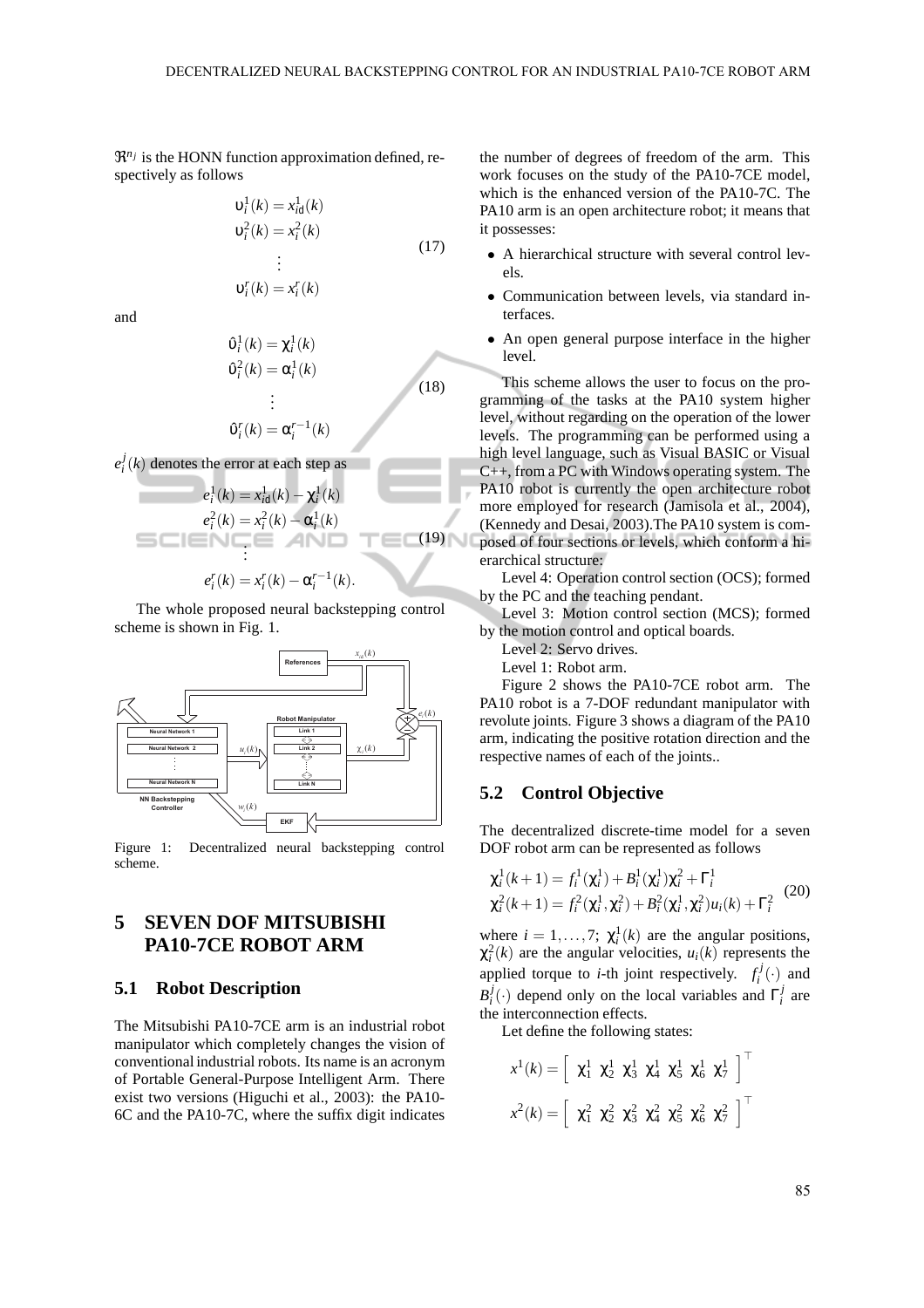$\mathfrak{R}^{n_j}$  is the HONN function approximation defined, respectively as follows

$$
\mathbf{v}_i^1(k) = x_{i\mathbf{d}}^1(k)
$$
  
\n
$$
\mathbf{v}_i^2(k) = x_i^2(k)
$$
  
\n
$$
\vdots
$$
  
\n
$$
\mathbf{v}_i^r(k) = x_i^r(k)
$$
 (17)

and

$$
\hat{\mathbf{v}}_i^1(k) = \mathbf{\chi}_i^1(k)
$$
  
\n
$$
\hat{\mathbf{v}}_i^2(k) = \mathbf{\alpha}_i^1(k)
$$
  
\n
$$
\vdots
$$
  
\n
$$
\hat{\mathbf{v}}_i^r(k) = \mathbf{\alpha}_i^{r-1}(k)
$$
\n(18)

$$
e_i^j(k)
$$
 denotes the error at each step as

$$
e_i^1(k) = x_{i\dot{a}}^1(k) - \chi_i^1(k)
$$
  
\n
$$
e_i^2(k) = x_i^2(k) - \alpha_i^1(k)
$$
  
\n
$$
\vdots
$$
  
\n
$$
e_i^r(k) = x_i^r(k) - \alpha_i^{r-1}(k).
$$
 (19)

The whole proposed neural backstepping control scheme is shown in Fig. 1.



Figure 1: Decentralized neural backstepping control scheme.

### **5 SEVEN DOF MITSUBISHI PA10-7CE ROBOT ARM**

#### **5.1 Robot Description**

The Mitsubishi PA10-7CE arm is an industrial robot manipulator which completely changes the vision of conventional industrial robots. Its name is an acronym of Portable General-Purpose Intelligent Arm. There exist two versions (Higuchi et al., 2003): the PA10- 6C and the PA10-7C, where the suffix digit indicates the number of degrees of freedom of the arm. This work focuses on the study of the PA10-7CE model, which is the enhanced version of the PA10-7C. The PA10 arm is an open architecture robot; it means that it possesses:

- A hierarchical structure with several control levels.
- Communication between levels, via standard interfaces.
- An open general purpose interface in the higher level.

This scheme allows the user to focus on the programming of the tasks at the PA10 system higher level, without regarding on the operation of the lower levels. The programming can be performed using a high level language, such as Visual BASIC or Visual C++, from a PC with Windows operating system. The PA10 robot is currently the open architecture robot more employed for research (Jamisola et al., 2004), (Kennedy and Desai, 2003).The PA10 system is composed of four sections or levels, which conform a hierarchical structure:

Level 4: Operation control section (OCS); formed by the PC and the teaching pendant.

Level 3: Motion control section (MCS); formed by the motion control and optical boards.

Level 2: Servo drives.

Level 1: Robot arm.

Figure 2 shows the PA10-7CE robot arm. The PA10 robot is a 7-DOF redundant manipulator with revolute joints. Figure 3 shows a diagram of the PA10 arm, indicating the positive rotation direction and the respective names of each of the joints..

#### **5.2 Control Objective**

The decentralized discrete-time model for a seven DOF robot arm can be represented as follows

$$
\chi_i^1(k+1) = f_i^1(\chi_i^1) + B_i^1(\chi_i^1)\chi_i^2 + \Gamma_i^1
$$
  

$$
\chi_i^2(k+1) = f_i^2(\chi_i^1, \chi_i^2) + B_i^2(\chi_i^1, \chi_i^2)u_i(k) + \Gamma_i^2
$$
 (20)

where  $i = 1, \ldots, 7$ ;  $\chi_i^1(k)$  are the angular positions,  $\chi_i^2(k)$  are the angular velocities,  $u_i(k)$  represents the applied torque to *i*-th joint respectively.  $f_i^j(\cdot)$  and  $B_i^j(\cdot)$  depend only on the local variables and  $\Gamma_i^j$  are the interconnection effects.

Let define the following states:

$$
x^1(k) = \left[\begin{array}{cc} \chi_1^1 & \chi_2^1 & \chi_3^1 & \chi_4^1 & \chi_5^1 & \chi_6^1 & \chi_7^1 \end{array}\right]^\top
$$
  

$$
x^2(k) = \left[\begin{array}{cc} \chi_1^2 & \chi_2^2 & \chi_3^2 & \chi_4^2 & \chi_5^2 & \chi_6^2 & \chi_7^2 \end{array}\right]^\top
$$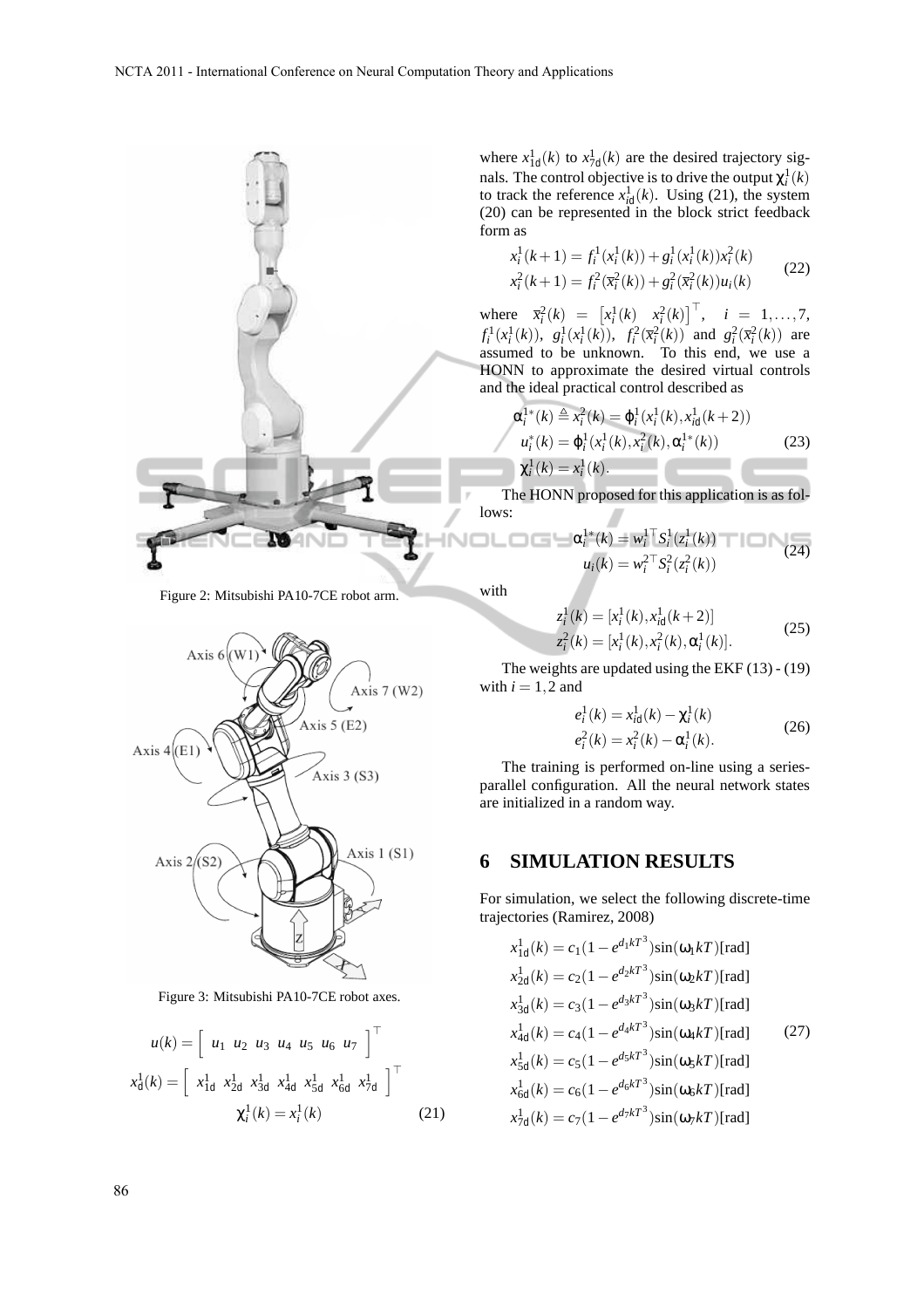

Figure 2: Mitsubishi PA10-7CE robot arm.



Figure 3: Mitsubishi PA10-7CE robot axes.

$$
u(k) = \begin{bmatrix} u_1 & u_2 & u_3 & u_4 & u_5 & u_6 & u_7 \end{bmatrix}^\top
$$
  

$$
x_{d}^{1}(k) = \begin{bmatrix} x_{1d}^{1} & x_{2d}^{1} & x_{3d}^{1} & x_{4d}^{1} & x_{5d}^{1} & x_{6d}^{1} & x_{7d}^{1} \end{bmatrix}^\top
$$
  

$$
x_{i}^{1}(k) = x_{i}^{1}(k)
$$
 (21)

where  $x_{1d}^1(k)$  to  $x_{7d}^1(k)$  are the desired trajectory signals. The control objective is to drive the output  $\chi_i^1(k)$ to track the reference  $x_{i,d}^1(k)$ . Using (21), the system (20) can be represented in the block strict feedback form as

$$
x_i^1(k+1) = f_i^1(x_i^1(k)) + g_i^1(x_i^1(k))x_i^2(k)
$$
  
\n
$$
x_i^2(k+1) = f_i^2(\overline{x}_i^2(k)) + g_i^2(\overline{x}_i^2(k))u_i(k)
$$
 (22)

where  $\bar{x}_i^2(k) = [x_i^1(k) \quad x_i^2(k)]^\top$ ,  $i = 1,...,7$ ,  $f_i^1(x_i^1(k))$ ,  $g_i^1(x_i^1(k))$ ,  $f_i^2(\overline{x}_i^2(k))$  and  $g_i^2(\overline{x}_i^2(k))$  are assumed to be unknown. To this end, we use a HONN to approximate the desired virtual controls and the ideal practical control described as

$$
\alpha_i^{1*}(k) \triangleq x_i^2(k) = \varphi_i^1(x_i^1(k), x_{i\alpha}^1(k+2))
$$
  
\n
$$
u_i^*(k) = \varphi_i^1(x_i^1(k), x_i^2(k), \alpha_i^{1*}(k))
$$
  
\n
$$
\chi_i^1(k) = x_i^1(k).
$$
\n(23)

The HONN proposed for this application is as follows:

$$
\begin{aligned} \n\mathbf{u}_i^{1*}(k) &= w_i^1 \nabla S_i^1(z_i^1(k)) \\ \nu_i(k) &= w_i^{2} \nabla S_i^2(z_i^2(k)) \n\end{aligned} \tag{24}
$$

with

$$
z_i^1(k) = [x_i^1(k), x_{i\text{d}}^1(k+2)]
$$
  
\n
$$
z_i^2(k) = [x_i^1(k), x_i^2(k), \alpha_i^1(k)].
$$
\n(25)

The weights are updated using the EKF (13) - (19) with  $i = 1, 2$  and

$$
e_i^1(k) = x_{i\text{d}}^1(k) - \chi_i^1(k)
$$
  
\n
$$
e_i^2(k) = x_i^2(k) - \alpha_i^1(k).
$$
\n(26)

The training is performed on-line using a seriesparallel configuration. All the neural network states are initialized in a random way.

### **6 SIMULATION RESULTS**

For simulation, we select the following discrete-time trajectories (Ramirez, 2008)

$$
x_{1d}^{1}(k) = c_{1}(1 - e^{d_{1}kT^{3}})\sin(\omega_{1}kT)[\text{rad}]
$$
  
\n
$$
x_{2d}^{1}(k) = c_{2}(1 - e^{d_{2}kT^{3}})\sin(\omega_{2}kT)[\text{rad}]
$$
  
\n
$$
x_{3d}^{1}(k) = c_{3}(1 - e^{d_{3}kT^{3}})\sin(\omega_{3}kT)[\text{rad}]
$$
  
\n
$$
x_{4d}^{1}(k) = c_{4}(1 - e^{d_{4}kT^{3}})\sin(\omega_{4}kT)[\text{rad}]
$$
  
\n
$$
x_{5d}^{1}(k) = c_{5}(1 - e^{d_{5}kT^{3}})\sin(\omega_{5}kT)[\text{rad}]
$$
  
\n
$$
x_{6d}^{1}(k) = c_{6}(1 - e^{d_{6}kT^{3}})\sin(\omega_{6}kT)[\text{rad}]
$$
  
\n
$$
x_{7d}^{1}(k) = c_{7}(1 - e^{d_{7}kT^{3}})\sin(\omega_{7}kT)[\text{rad}]
$$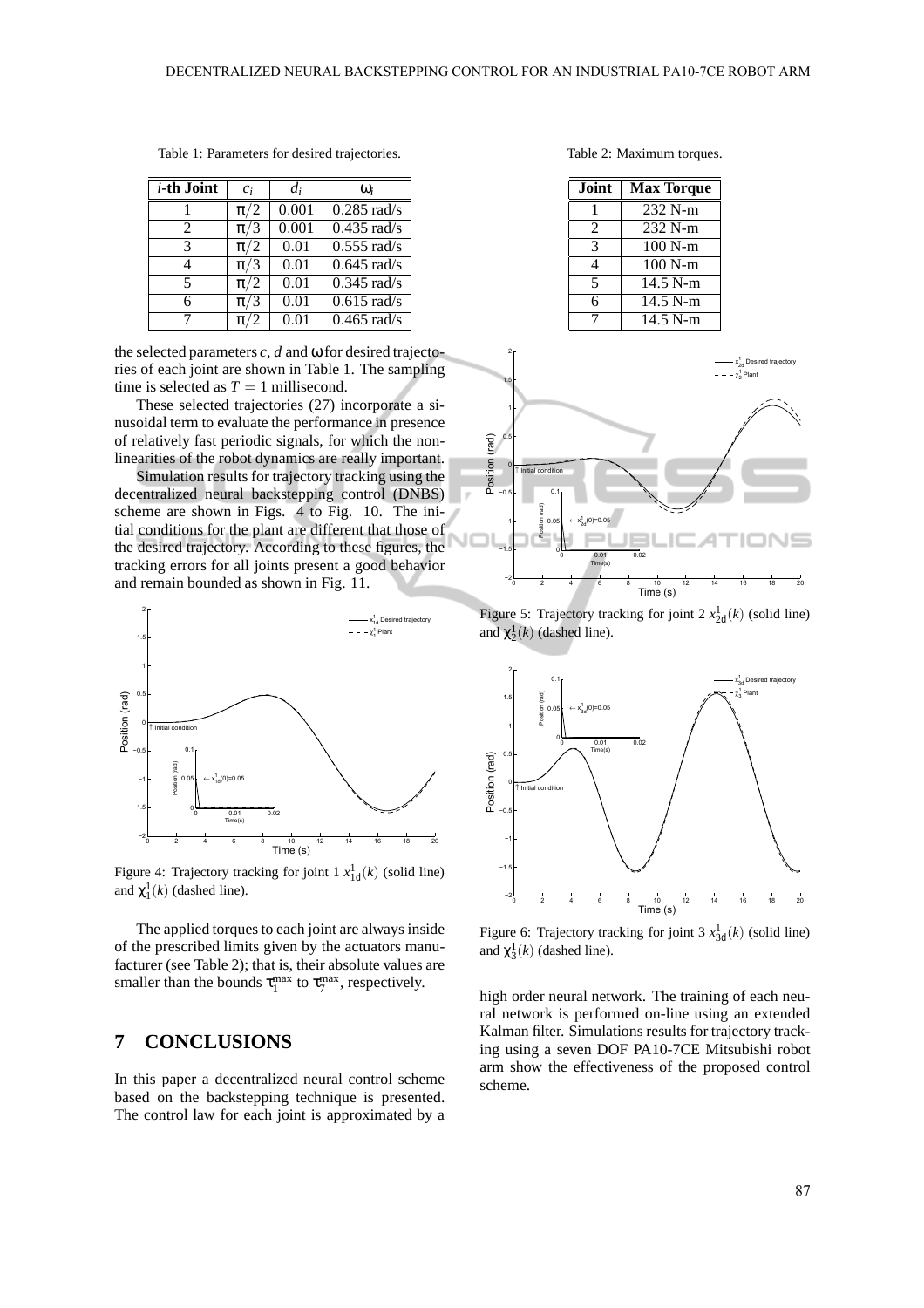| <i>i</i> -th Joint          | $c_i$   | $d_i$ | $\omega_i$    |
|-----------------------------|---------|-------|---------------|
|                             | $\pi/2$ | 0.001 | $0.285$ rad/s |
| $\mathcal{D}_{\mathcal{L}}$ | $\pi/3$ | 0.001 | $0.435$ rad/s |
| 3                           | $\pi/2$ | 0.01  | $0.555$ rad/s |
|                             | $\pi/3$ | 0.01  | $0.645$ rad/s |
| 5                           | $\pi/2$ | 0.01  | $0.345$ rad/s |
| 6                           | $\pi/3$ | 0.01  | $0.615$ rad/s |
|                             | $\pi/2$ | 0.01  | $0.465$ rad/s |

Table 1: Parameters for desired trajectories.

the selected parameters  $c$ ,  $d$  and  $\omega$  for desired trajectories of each joint are shown in Table 1. The sampling time is selected as  $T = 1$  millisecond.

These selected trajectories (27) incorporate a sinusoidal term to evaluate the performance in presence of relatively fast periodic signals, for which the nonlinearities of the robot dynamics are really important.

Simulation results for trajectory tracking using the decentralized neural backstepping control (DNBS) scheme are shown in Figs. 4 to Fig. 10. The initial conditions for the plant are different that those of the desired trajectory. According to these figures, the tracking errors for all joints present a good behavior and remain bounded as shown in Fig. 11.



Figure 4: Trajectory tracking for joint  $1 x_{1d}^1(k)$  (solid line) and  $\chi_1^1(k)$  (dashed line).

The applied torques to each joint are always inside of the prescribed limits given by the actuators manufacturer (see Table 2); that is, their absolute values are smaller than the bounds  $\tau_1^{\text{max}}$  to  $\tau_7^{\text{max}}$ , respectively.

### **7 CONCLUSIONS**

In this paper a decentralized neural control scheme based on the backstepping technique is presented. The control law for each joint is approximated by a

Table 2: Maximum torques.

| Joint                       | <b>Max Torque</b> |  |  |
|-----------------------------|-------------------|--|--|
|                             | $232$ N-m         |  |  |
| $\mathcal{D}_{\mathcal{L}}$ | 232 N-m           |  |  |
| 3                           | $100$ N-m         |  |  |
| 4                           | $100$ N-m         |  |  |
| $\overline{\phantom{0}}$    | 14.5 N-m          |  |  |
| 6                           | $14.5$ N-m        |  |  |
|                             | 14.5 N-m          |  |  |



Figure 5: Trajectory tracking for joint  $2 x_{2d}^1(k)$  (solid line) and  $\chi_2^1(k)$  (dashed line).



Figure 6: Trajectory tracking for joint  $3 x_{3d}^1(k)$  (solid line) and  $\chi_3^1(k)$  (dashed line).

high order neural network. The training of each neural network is performed on-line using an extended Kalman filter. Simulations results for trajectory tracking using a seven DOF PA10-7CE Mitsubishi robot arm show the effectiveness of the proposed control scheme.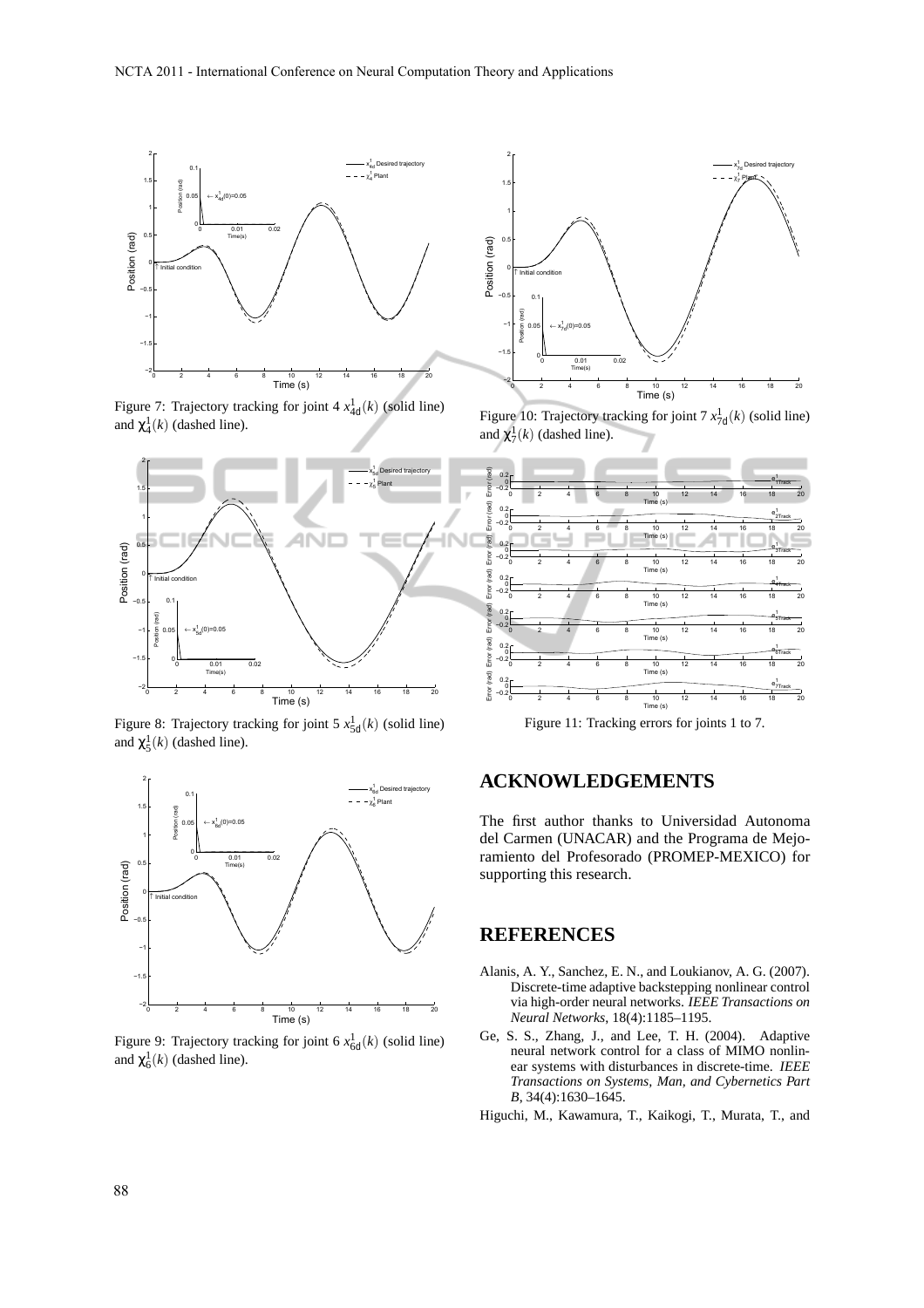

Figure 7: Trajectory tracking for joint  $4 x_{4d}^1(k)$  (solid line) and  $\chi_4^1(k)$  (dashed line).



Figure 8: Trajectory tracking for joint 5  $x_{5d}^1(k)$  (solid line) and  $\chi_5^1(k)$  (dashed line).



Figure 9: Trajectory tracking for joint 6  $x_{6d}^1(k)$  (solid line) and  $\chi_6^1(k)$  (dashed line).



Figure 10: Trajectory tracking for joint  $7 x_{7d}^1(k)$  (solid line) and  $\chi^1_7(k)$  (dashed line).



Figure 11: Tracking errors for joints 1 to 7.

# **ACKNOWLEDGEMENTS**

The first author thanks to Universidad Autonoma del Carmen (UNACAR) and the Programa de Mejoramiento del Profesorado (PROMEP-MEXICO) for supporting this research.

## **REFERENCES**

- Alanis, A. Y., Sanchez, E. N., and Loukianov, A. G. (2007). Discrete-time adaptive backstepping nonlinear control via high-order neural networks. *IEEE Transactions on Neural Networks*, 18(4):1185–1195.
- Ge, S. S., Zhang, J., and Lee, T. H. (2004). Adaptive neural network control for a class of MIMO nonlinear systems with disturbances in discrete-time. *IEEE Transactions on Systems, Man, and Cybernetics Part B*, 34(4):1630–1645.

Higuchi, M., Kawamura, T., Kaikogi, T., Murata, T., and